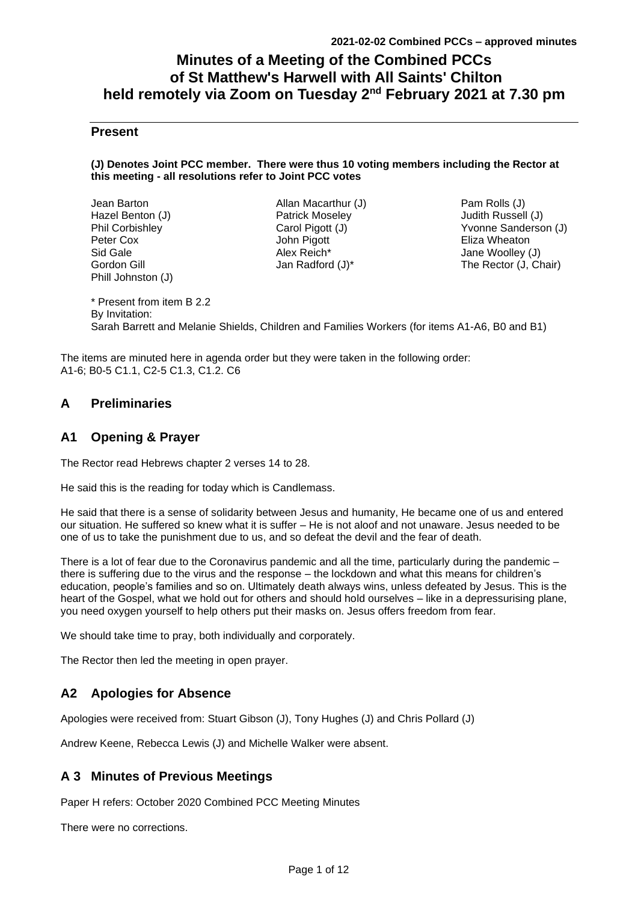# **Minutes of a Meeting of the Combined PCCs of St Matthew's Harwell with All Saints' Chilton held remotely via Zoom on Tuesday 2 nd February 2021 at 7.30 pm**

# **Present**

#### **(J) Denotes Joint PCC member. There were thus 10 voting members including the Rector at this meeting - all resolutions refer to Joint PCC votes**

| Jean Barton        |
|--------------------|
| Hazel Benton (J)   |
| Phil Corbishley    |
| Peter Cox          |
| Sid Gale           |
| Gordon Gill        |
| Phill Johnston (J) |

Allan Macarthur (J) Patrick Moseley Carol Pigott (J) John Pigott Alex Reich\* Jan Radford (J)\*

Pam Rolls (J) Judith Russell (J) Yvonne Sanderson (J) Eliza Wheaton Jane Woolley (J) The Rector (J, Chair)

\* Present from item B 2.2 By Invitation: Sarah Barrett and Melanie Shields, Children and Families Workers (for items A1-A6, B0 and B1)

The items are minuted here in agenda order but they were taken in the following order: A1-6; B0-5 C1.1, C2-5 C1.3, C1.2. C6

# **A Preliminaries**

# **A1 Opening & Prayer**

The Rector read Hebrews chapter 2 verses 14 to 28.

He said this is the reading for today which is Candlemass.

He said that there is a sense of solidarity between Jesus and humanity, He became one of us and entered our situation. He suffered so knew what it is suffer – He is not aloof and not unaware. Jesus needed to be one of us to take the punishment due to us, and so defeat the devil and the fear of death.

There is a lot of fear due to the Coronavirus pandemic and all the time, particularly during the pandemic – there is suffering due to the virus and the response – the lockdown and what this means for children's education, people's families and so on. Ultimately death always wins, unless defeated by Jesus. This is the heart of the Gospel, what we hold out for others and should hold ourselves – like in a depressurising plane, you need oxygen yourself to help others put their masks on. Jesus offers freedom from fear.

We should take time to pray, both individually and corporately.

The Rector then led the meeting in open prayer.

# **A2 Apologies for Absence**

Apologies were received from: Stuart Gibson (J), Tony Hughes (J) and Chris Pollard (J)

Andrew Keene, Rebecca Lewis (J) and Michelle Walker were absent.

# **A 3 Minutes of Previous Meetings**

Paper H refers: October 2020 Combined PCC Meeting Minutes

There were no corrections.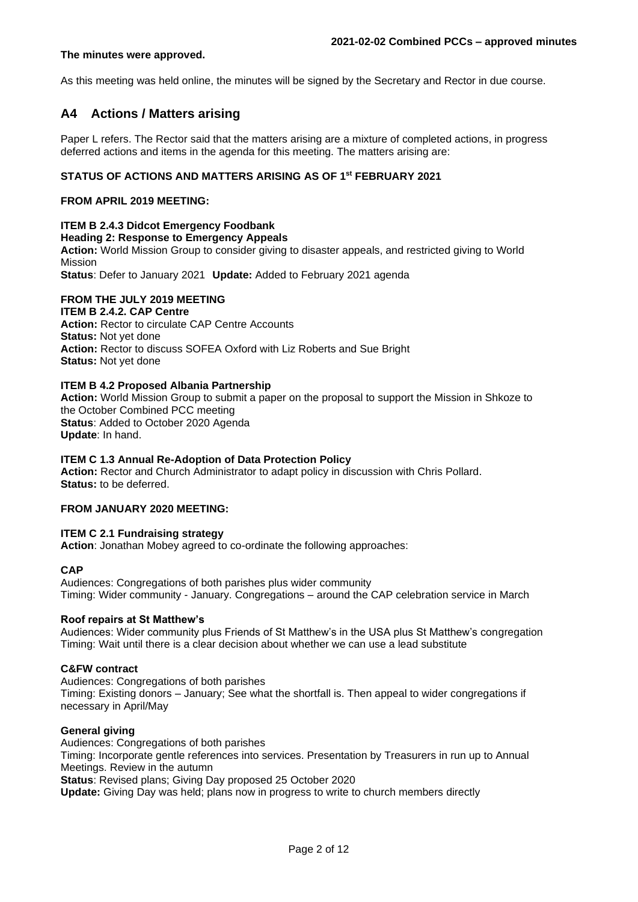#### **The minutes were approved.**

As this meeting was held online, the minutes will be signed by the Secretary and Rector in due course.

# **A4 Actions / Matters arising**

Paper L refers. The Rector said that the matters arising are a mixture of completed actions, in progress deferred actions and items in the agenda for this meeting. The matters arising are:

# **STATUS OF ACTIONS AND MATTERS ARISING AS OF 1st FEBRUARY 2021**

#### **FROM APRIL 2019 MEETING:**

## **ITEM B 2.4.3 Didcot Emergency Foodbank**

#### **Heading 2: Response to Emergency Appeals**

**Action:** World Mission Group to consider giving to disaster appeals, and restricted giving to World Mission

**Status**: Defer to January 2021 **Update:** Added to February 2021 agenda

# **FROM THE JULY 2019 MEETING**

#### **ITEM B 2.4.2. CAP Centre**

**Action: Rector to circulate CAP Centre Accounts Status:** Not yet done **Action:** Rector to discuss SOFEA Oxford with Liz Roberts and Sue Bright **Status:** Not yet done

## **ITEM B 4.2 Proposed Albania Partnership**

**Action:** World Mission Group to submit a paper on the proposal to support the Mission in Shkoze to the October Combined PCC meeting **Status**: Added to October 2020 Agenda **Update**: In hand.

#### **ITEM C 1.3 Annual Re-Adoption of Data Protection Policy**

**Action:** Rector and Church Administrator to adapt policy in discussion with Chris Pollard. **Status:** to be deferred.

#### **FROM JANUARY 2020 MEETING:**

#### **ITEM C 2.1 Fundraising strategy**

**Action**: Jonathan Mobey agreed to co-ordinate the following approaches:

#### **CAP**

Audiences: Congregations of both parishes plus wider community Timing: Wider community - January. Congregations – around the CAP celebration service in March

#### **Roof repairs at St Matthew's**

Audiences: Wider community plus Friends of St Matthew's in the USA plus St Matthew's congregation Timing: Wait until there is a clear decision about whether we can use a lead substitute

#### **C&FW contract**

Audiences: Congregations of both parishes

Timing: Existing donors – January; See what the shortfall is. Then appeal to wider congregations if necessary in April/May

#### **General giving**

Audiences: Congregations of both parishes Timing: Incorporate gentle references into services. Presentation by Treasurers in run up to Annual Meetings. Review in the autumn **Status**: Revised plans; Giving Day proposed 25 October 2020

**Update:** Giving Day was held; plans now in progress to write to church members directly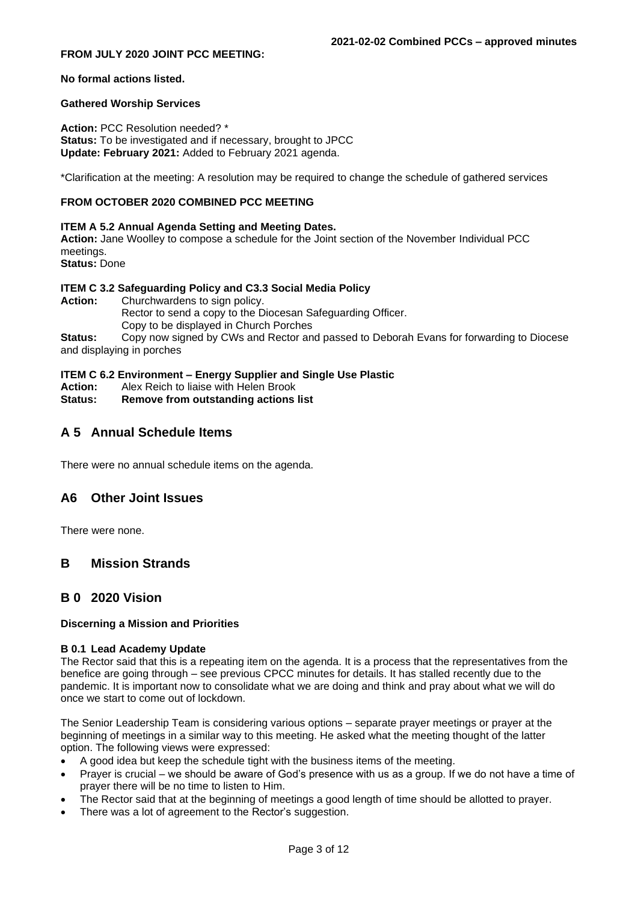## **FROM JULY 2020 JOINT PCC MEETING:**

#### **No formal actions listed.**

#### **Gathered Worship Services**

**Action:** PCC Resolution needed? \* **Status:** To be investigated and if necessary, brought to JPCC **Update: February 2021:** Added to February 2021 agenda.

\*Clarification at the meeting: A resolution may be required to change the schedule of gathered services

## **FROM OCTOBER 2020 COMBINED PCC MEETING**

#### **ITEM A 5.2 Annual Agenda Setting and Meeting Dates.**

**Action:** Jane Woolley to compose a schedule for the Joint section of the November Individual PCC meetings.

**Status:** Done

#### **ITEM C 3.2 Safeguarding Policy and C3.3 Social Media Policy**

Action: Churchwardens to sign policy. Rector to send a copy to the Diocesan Safeguarding Officer. Copy to be displayed in Church Porches

**Status:** Copy now signed by CWs and Rector and passed to Deborah Evans for forwarding to Diocese and displaying in porches

# **ITEM C 6.2 Environment – Energy Supplier and Single Use Plastic**

- **Action:** Alex Reich to liaise with Helen Brook
- **Status: Remove from outstanding actions list**

# **A 5 Annual Schedule Items**

There were no annual schedule items on the agenda.

# **A6 Other Joint Issues**

There were none.

# **B Mission Strands**

# **B 0 2020 Vision**

#### **Discerning a Mission and Priorities**

#### **B 0.1 Lead Academy Update**

The Rector said that this is a repeating item on the agenda. It is a process that the representatives from the benefice are going through – see previous CPCC minutes for details. It has stalled recently due to the pandemic. It is important now to consolidate what we are doing and think and pray about what we will do once we start to come out of lockdown.

The Senior Leadership Team is considering various options – separate prayer meetings or prayer at the beginning of meetings in a similar way to this meeting. He asked what the meeting thought of the latter option. The following views were expressed:

- A good idea but keep the schedule tight with the business items of the meeting.
- Prayer is crucial we should be aware of God's presence with us as a group. If we do not have a time of prayer there will be no time to listen to Him.
- The Rector said that at the beginning of meetings a good length of time should be allotted to prayer.
- There was a lot of agreement to the Rector's suggestion.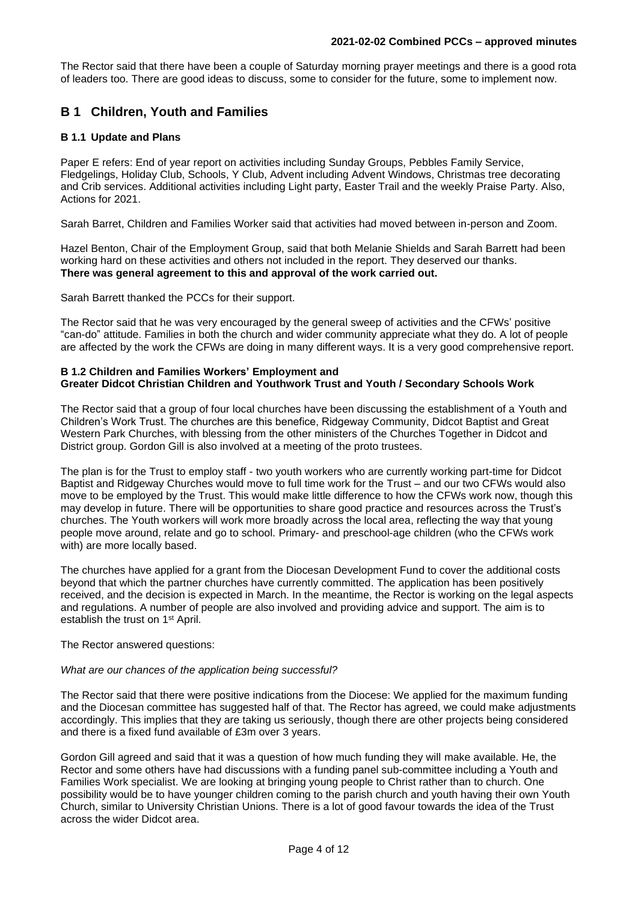The Rector said that there have been a couple of Saturday morning prayer meetings and there is a good rota of leaders too. There are good ideas to discuss, some to consider for the future, some to implement now.

# **B 1 Children, Youth and Families**

## **B 1.1 Update and Plans**

Paper E refers: End of year report on activities including Sunday Groups, Pebbles Family Service, Fledgelings, Holiday Club, Schools, Y Club, Advent including Advent Windows, Christmas tree decorating and Crib services. Additional activities including Light party, Easter Trail and the weekly Praise Party. Also, Actions for 2021.

Sarah Barret, Children and Families Worker said that activities had moved between in-person and Zoom.

Hazel Benton, Chair of the Employment Group, said that both Melanie Shields and Sarah Barrett had been working hard on these activities and others not included in the report. They deserved our thanks. **There was general agreement to this and approval of the work carried out.**

Sarah Barrett thanked the PCCs for their support.

The Rector said that he was very encouraged by the general sweep of activities and the CFWs' positive "can-do" attitude. Families in both the church and wider community appreciate what they do. A lot of people are affected by the work the CFWs are doing in many different ways. It is a very good comprehensive report.

#### **B 1.2 Children and Families Workers' Employment and Greater Didcot Christian Children and Youthwork Trust and Youth / Secondary Schools Work**

The Rector said that a group of four local churches have been discussing the establishment of a Youth and Children's Work Trust. The churches are this benefice, Ridgeway Community, Didcot Baptist and Great Western Park Churches, with blessing from the other ministers of the Churches Together in Didcot and District group. Gordon Gill is also involved at a meeting of the proto trustees.

The plan is for the Trust to employ staff - two youth workers who are currently working part-time for Didcot Baptist and Ridgeway Churches would move to full time work for the Trust – and our two CFWs would also move to be employed by the Trust. This would make little difference to how the CFWs work now, though this may develop in future. There will be opportunities to share good practice and resources across the Trust's churches. The Youth workers will work more broadly across the local area, reflecting the way that young people move around, relate and go to school. Primary- and preschool-age children (who the CFWs work with) are more locally based.

The churches have applied for a grant from the Diocesan Development Fund to cover the additional costs beyond that which the partner churches have currently committed. The application has been positively received, and the decision is expected in March. In the meantime, the Rector is working on the legal aspects and regulations. A number of people are also involved and providing advice and support. The aim is to establish the trust on 1<sup>st</sup> April.

The Rector answered questions:

#### *What are our chances of the application being successful?*

The Rector said that there were positive indications from the Diocese: We applied for the maximum funding and the Diocesan committee has suggested half of that. The Rector has agreed, we could make adjustments accordingly. This implies that they are taking us seriously, though there are other projects being considered and there is a fixed fund available of £3m over 3 years.

Gordon Gill agreed and said that it was a question of how much funding they will make available. He, the Rector and some others have had discussions with a funding panel sub-committee including a Youth and Families Work specialist. We are looking at bringing young people to Christ rather than to church. One possibility would be to have younger children coming to the parish church and youth having their own Youth Church, similar to University Christian Unions. There is a lot of good favour towards the idea of the Trust across the wider Didcot area.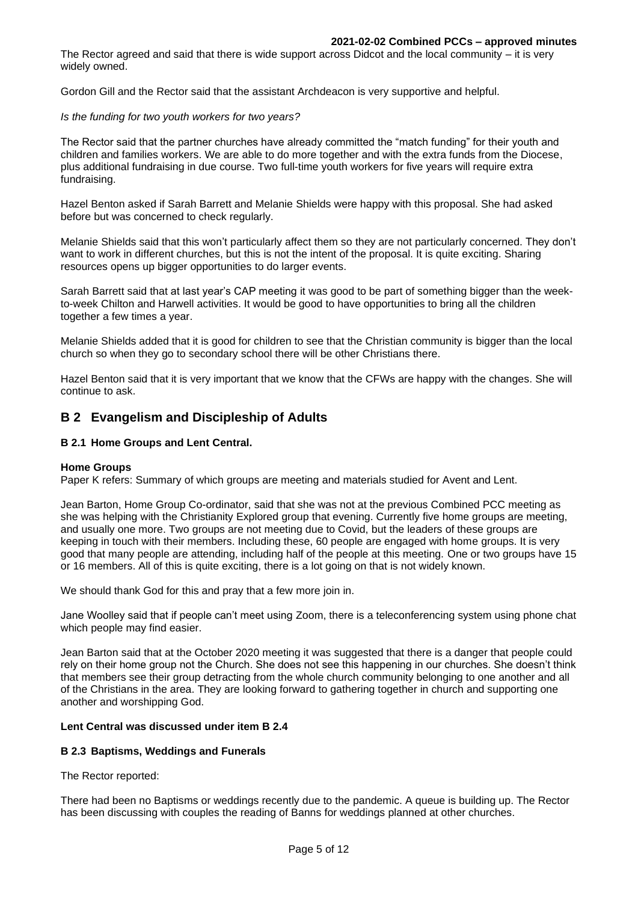The Rector agreed and said that there is wide support across Didcot and the local community – it is very widely owned.

Gordon Gill and the Rector said that the assistant Archdeacon is very supportive and helpful.

#### *Is the funding for two youth workers for two years?*

The Rector said that the partner churches have already committed the "match funding" for their youth and children and families workers. We are able to do more together and with the extra funds from the Diocese, plus additional fundraising in due course. Two full-time youth workers for five years will require extra fundraising.

Hazel Benton asked if Sarah Barrett and Melanie Shields were happy with this proposal. She had asked before but was concerned to check regularly.

Melanie Shields said that this won't particularly affect them so they are not particularly concerned. They don't want to work in different churches, but this is not the intent of the proposal. It is quite exciting. Sharing resources opens up bigger opportunities to do larger events.

Sarah Barrett said that at last year's CAP meeting it was good to be part of something bigger than the weekto-week Chilton and Harwell activities. It would be good to have opportunities to bring all the children together a few times a year.

Melanie Shields added that it is good for children to see that the Christian community is bigger than the local church so when they go to secondary school there will be other Christians there.

Hazel Benton said that it is very important that we know that the CFWs are happy with the changes. She will continue to ask.

# **B 2 Evangelism and Discipleship of Adults**

## **B 2.1 Home Groups and Lent Central.**

#### **Home Groups**

Paper K refers: Summary of which groups are meeting and materials studied for Avent and Lent.

Jean Barton, Home Group Co-ordinator, said that she was not at the previous Combined PCC meeting as she was helping with the Christianity Explored group that evening. Currently five home groups are meeting, and usually one more. Two groups are not meeting due to Covid, but the leaders of these groups are keeping in touch with their members. Including these, 60 people are engaged with home groups. It is very good that many people are attending, including half of the people at this meeting. One or two groups have 15 or 16 members. All of this is quite exciting, there is a lot going on that is not widely known.

We should thank God for this and pray that a few more join in.

Jane Woolley said that if people can't meet using Zoom, there is a teleconferencing system using phone chat which people may find easier.

Jean Barton said that at the October 2020 meeting it was suggested that there is a danger that people could rely on their home group not the Church. She does not see this happening in our churches. She doesn't think that members see their group detracting from the whole church community belonging to one another and all of the Christians in the area. They are looking forward to gathering together in church and supporting one another and worshipping God.

# **Lent Central was discussed under item B 2.4**

#### **B 2.3 Baptisms, Weddings and Funerals**

The Rector reported:

There had been no Baptisms or weddings recently due to the pandemic. A queue is building up. The Rector has been discussing with couples the reading of Banns for weddings planned at other churches.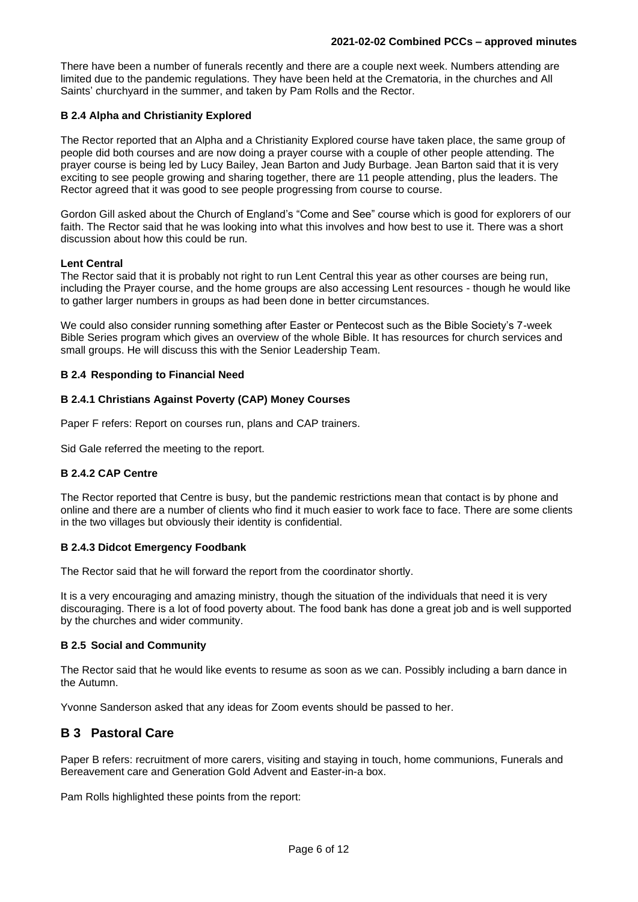There have been a number of funerals recently and there are a couple next week. Numbers attending are limited due to the pandemic regulations. They have been held at the Crematoria, in the churches and All Saints' churchyard in the summer, and taken by Pam Rolls and the Rector.

# **B 2.4 Alpha and Christianity Explored**

The Rector reported that an Alpha and a Christianity Explored course have taken place, the same group of people did both courses and are now doing a prayer course with a couple of other people attending. The prayer course is being led by Lucy Bailey, Jean Barton and Judy Burbage. Jean Barton said that it is very exciting to see people growing and sharing together, there are 11 people attending, plus the leaders. The Rector agreed that it was good to see people progressing from course to course.

Gordon Gill asked about the Church of England's "Come and See" course which is good for explorers of our faith. The Rector said that he was looking into what this involves and how best to use it. There was a short discussion about how this could be run.

# **Lent Central**

The Rector said that it is probably not right to run Lent Central this year as other courses are being run, including the Prayer course, and the home groups are also accessing Lent resources - though he would like to gather larger numbers in groups as had been done in better circumstances.

We could also consider running something after Easter or Pentecost such as the Bible Society's 7-week Bible Series program which gives an overview of the whole Bible. It has resources for church services and small groups. He will discuss this with the Senior Leadership Team.

## **B 2.4 Responding to Financial Need**

# **B 2.4.1 Christians Against Poverty (CAP) Money Courses**

Paper F refers: Report on courses run, plans and CAP trainers.

Sid Gale referred the meeting to the report.

# **B 2.4.2 CAP Centre**

The Rector reported that Centre is busy, but the pandemic restrictions mean that contact is by phone and online and there are a number of clients who find it much easier to work face to face. There are some clients in the two villages but obviously their identity is confidential.

# **B 2.4.3 Didcot Emergency Foodbank**

The Rector said that he will forward the report from the coordinator shortly.

It is a very encouraging and amazing ministry, though the situation of the individuals that need it is very discouraging. There is a lot of food poverty about. The food bank has done a great job and is well supported by the churches and wider community.

# **B 2.5 Social and Community**

The Rector said that he would like events to resume as soon as we can. Possibly including a barn dance in the Autumn.

Yvonne Sanderson asked that any ideas for Zoom events should be passed to her.

# **B 3 Pastoral Care**

Paper B refers: recruitment of more carers, visiting and staying in touch, home communions, Funerals and Bereavement care and Generation Gold Advent and Easter-in-a box.

Pam Rolls highlighted these points from the report: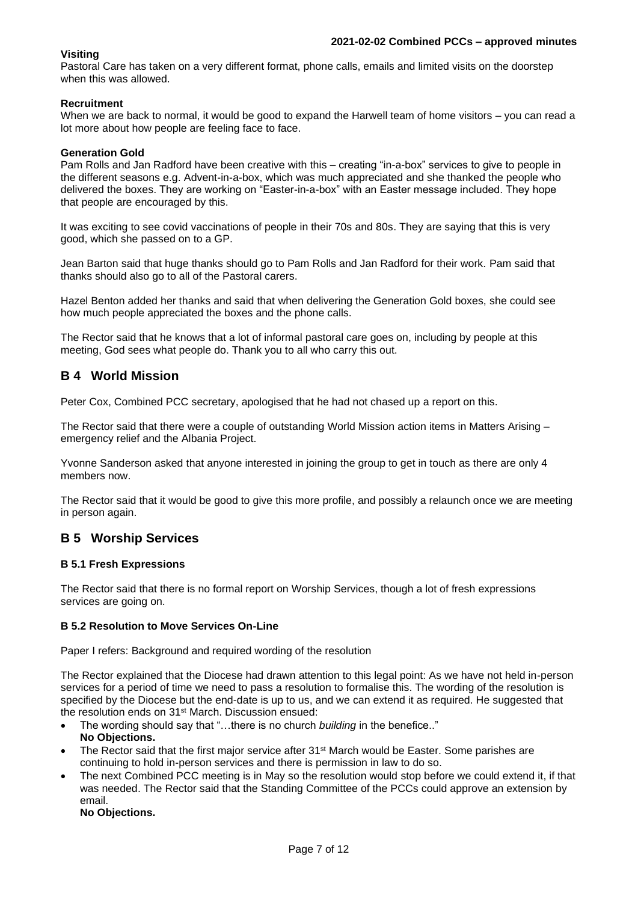# **Visiting**

Pastoral Care has taken on a very different format, phone calls, emails and limited visits on the doorstep when this was allowed.

# **Recruitment**

When we are back to normal, it would be good to expand the Harwell team of home visitors – you can read a lot more about how people are feeling face to face.

## **Generation Gold**

Pam Rolls and Jan Radford have been creative with this – creating "in-a-box" services to give to people in the different seasons e.g. Advent-in-a-box, which was much appreciated and she thanked the people who delivered the boxes. They are working on "Easter-in-a-box" with an Easter message included. They hope that people are encouraged by this.

It was exciting to see covid vaccinations of people in their 70s and 80s. They are saying that this is very good, which she passed on to a GP.

Jean Barton said that huge thanks should go to Pam Rolls and Jan Radford for their work. Pam said that thanks should also go to all of the Pastoral carers.

Hazel Benton added her thanks and said that when delivering the Generation Gold boxes, she could see how much people appreciated the boxes and the phone calls.

The Rector said that he knows that a lot of informal pastoral care goes on, including by people at this meeting, God sees what people do. Thank you to all who carry this out.

# **B 4 World Mission**

Peter Cox, Combined PCC secretary, apologised that he had not chased up a report on this.

The Rector said that there were a couple of outstanding World Mission action items in Matters Arising – emergency relief and the Albania Project.

Yvonne Sanderson asked that anyone interested in joining the group to get in touch as there are only 4 members now.

The Rector said that it would be good to give this more profile, and possibly a relaunch once we are meeting in person again.

# **B 5 Worship Services**

# **B 5.1 Fresh Expressions**

The Rector said that there is no formal report on Worship Services, though a lot of fresh expressions services are going on.

# **B 5.2 Resolution to Move Services On-Line**

Paper I refers: Background and required wording of the resolution

The Rector explained that the Diocese had drawn attention to this legal point: As we have not held in-person services for a period of time we need to pass a resolution to formalise this. The wording of the resolution is specified by the Diocese but the end-date is up to us, and we can extend it as required. He suggested that the resolution ends on 31st March. Discussion ensued:

- The wording should say that "…there is no church *building* in the benefice.." **No Objections.**
- The Rector said that the first major service after 31<sup>st</sup> March would be Easter. Some parishes are continuing to hold in-person services and there is permission in law to do so.
- The next Combined PCC meeting is in May so the resolution would stop before we could extend it, if that was needed. The Rector said that the Standing Committee of the PCCs could approve an extension by email.

**No Objections.**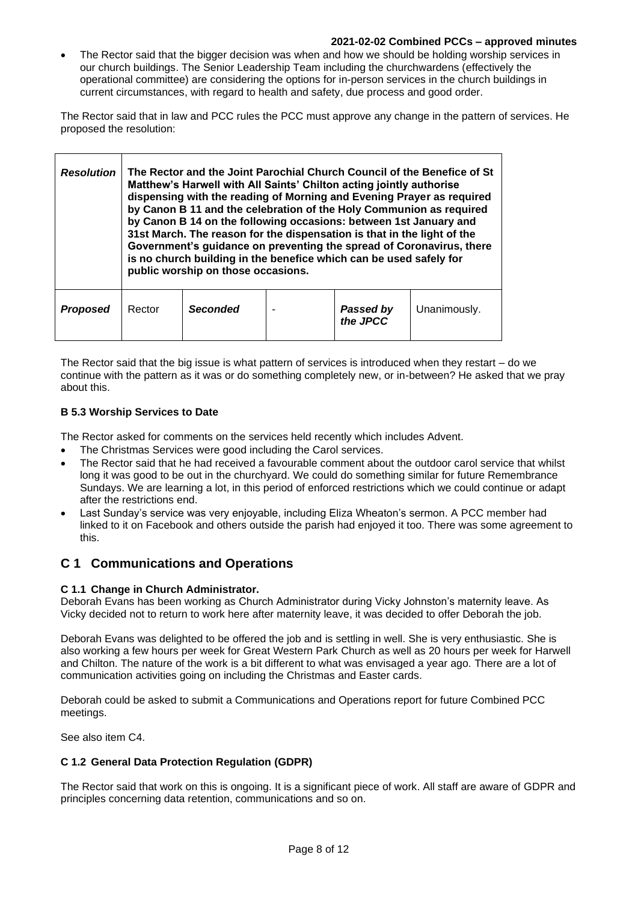#### **2021-02-02 Combined PCCs – approved minutes**

• The Rector said that the bigger decision was when and how we should be holding worship services in our church buildings. The Senior Leadership Team including the churchwardens (effectively the operational committee) are considering the options for in-person services in the church buildings in current circumstances, with regard to health and safety, due process and good order.

The Rector said that in law and PCC rules the PCC must approve any change in the pattern of services. He proposed the resolution:

| <b>Resolution</b> | The Rector and the Joint Parochial Church Council of the Benefice of St<br>Matthew's Harwell with All Saints' Chilton acting jointly authorise<br>dispensing with the reading of Morning and Evening Prayer as required<br>by Canon B 11 and the celebration of the Holy Communion as required<br>by Canon B 14 on the following occasions: between 1st January and<br>31st March. The reason for the dispensation is that in the light of the<br>Government's guidance on preventing the spread of Coronavirus, there<br>is no church building in the benefice which can be used safely for<br>public worship on those occasions. |                 |  |                       |              |
|-------------------|------------------------------------------------------------------------------------------------------------------------------------------------------------------------------------------------------------------------------------------------------------------------------------------------------------------------------------------------------------------------------------------------------------------------------------------------------------------------------------------------------------------------------------------------------------------------------------------------------------------------------------|-----------------|--|-----------------------|--------------|
| <b>Proposed</b>   | Rector                                                                                                                                                                                                                                                                                                                                                                                                                                                                                                                                                                                                                             | <b>Seconded</b> |  | Passed by<br>the JPCC | Unanimously. |

The Rector said that the big issue is what pattern of services is introduced when they restart – do we continue with the pattern as it was or do something completely new, or in-between? He asked that we pray about this.

# **B 5.3 Worship Services to Date**

The Rector asked for comments on the services held recently which includes Advent.

- The Christmas Services were good including the Carol services.
- The Rector said that he had received a favourable comment about the outdoor carol service that whilst long it was good to be out in the churchyard. We could do something similar for future Remembrance Sundays. We are learning a lot, in this period of enforced restrictions which we could continue or adapt after the restrictions end.
- Last Sunday's service was very enjoyable, including Eliza Wheaton's sermon. A PCC member had linked to it on Facebook and others outside the parish had enjoyed it too. There was some agreement to this.

# **C 1 Communications and Operations**

# **C 1.1 Change in Church Administrator.**

Deborah Evans has been working as Church Administrator during Vicky Johnston's maternity leave. As Vicky decided not to return to work here after maternity leave, it was decided to offer Deborah the job.

Deborah Evans was delighted to be offered the job and is settling in well. She is very enthusiastic. She is also working a few hours per week for Great Western Park Church as well as 20 hours per week for Harwell and Chilton. The nature of the work is a bit different to what was envisaged a year ago. There are a lot of communication activities going on including the Christmas and Easter cards.

Deborah could be asked to submit a Communications and Operations report for future Combined PCC meetings.

See also item C4.

# **C 1.2 General Data Protection Regulation (GDPR)**

The Rector said that work on this is ongoing. It is a significant piece of work. All staff are aware of GDPR and principles concerning data retention, communications and so on.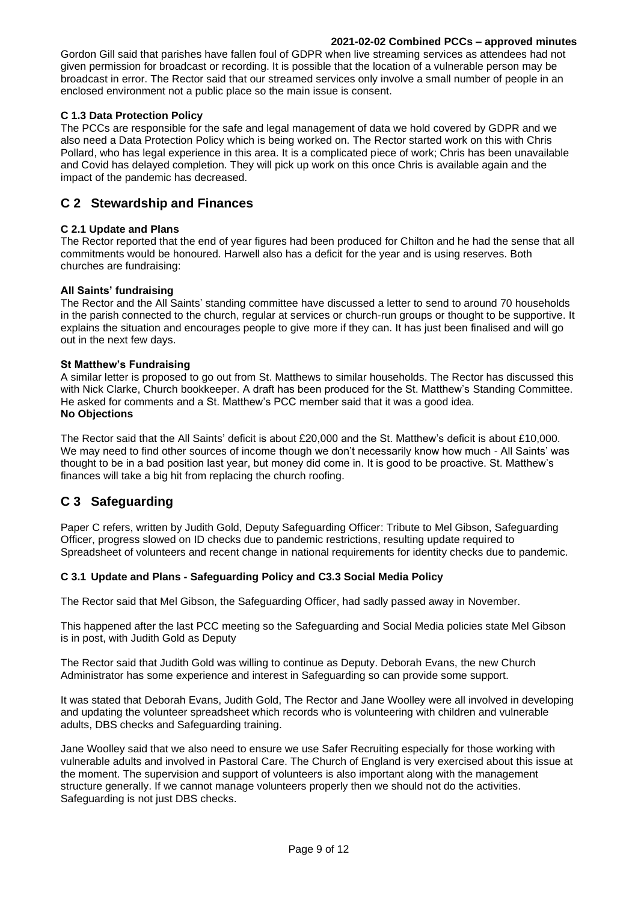## **2021-02-02 Combined PCCs – approved minutes**

Gordon Gill said that parishes have fallen foul of GDPR when live streaming services as attendees had not given permission for broadcast or recording. It is possible that the location of a vulnerable person may be broadcast in error. The Rector said that our streamed services only involve a small number of people in an enclosed environment not a public place so the main issue is consent.

# **C 1.3 Data Protection Policy**

The PCCs are responsible for the safe and legal management of data we hold covered by GDPR and we also need a Data Protection Policy which is being worked on. The Rector started work on this with Chris Pollard, who has legal experience in this area. It is a complicated piece of work; Chris has been unavailable and Covid has delayed completion. They will pick up work on this once Chris is available again and the impact of the pandemic has decreased.

# **C 2 Stewardship and Finances**

## **C 2.1 Update and Plans**

The Rector reported that the end of year figures had been produced for Chilton and he had the sense that all commitments would be honoured. Harwell also has a deficit for the year and is using reserves. Both churches are fundraising:

## **All Saints' fundraising**

The Rector and the All Saints' standing committee have discussed a letter to send to around 70 households in the parish connected to the church, regular at services or church-run groups or thought to be supportive. It explains the situation and encourages people to give more if they can. It has just been finalised and will go out in the next few days.

#### **St Matthew's Fundraising**

A similar letter is proposed to go out from St. Matthews to similar households. The Rector has discussed this with Nick Clarke, Church bookkeeper. A draft has been produced for the St. Matthew's Standing Committee. He asked for comments and a St. Matthew's PCC member said that it was a good idea. **No Objections**

The Rector said that the All Saints' deficit is about £20,000 and the St. Matthew's deficit is about £10,000. We may need to find other sources of income though we don't necessarily know how much - All Saints' was thought to be in a bad position last year, but money did come in. It is good to be proactive. St. Matthew's finances will take a big hit from replacing the church roofing.

# **C 3 Safeguarding**

Paper C refers, written by Judith Gold, Deputy Safeguarding Officer: Tribute to Mel Gibson, Safeguarding Officer, progress slowed on ID checks due to pandemic restrictions, resulting update required to Spreadsheet of volunteers and recent change in national requirements for identity checks due to pandemic.

# **C 3.1 Update and Plans - Safeguarding Policy and C3.3 Social Media Policy**

The Rector said that Mel Gibson, the Safeguarding Officer, had sadly passed away in November.

This happened after the last PCC meeting so the Safeguarding and Social Media policies state Mel Gibson is in post, with Judith Gold as Deputy

The Rector said that Judith Gold was willing to continue as Deputy. Deborah Evans, the new Church Administrator has some experience and interest in Safeguarding so can provide some support.

It was stated that Deborah Evans, Judith Gold, The Rector and Jane Woolley were all involved in developing and updating the volunteer spreadsheet which records who is volunteering with children and vulnerable adults, DBS checks and Safeguarding training.

Jane Woolley said that we also need to ensure we use Safer Recruiting especially for those working with vulnerable adults and involved in Pastoral Care. The Church of England is very exercised about this issue at the moment. The supervision and support of volunteers is also important along with the management structure generally. If we cannot manage volunteers properly then we should not do the activities. Safeguarding is not just DBS checks.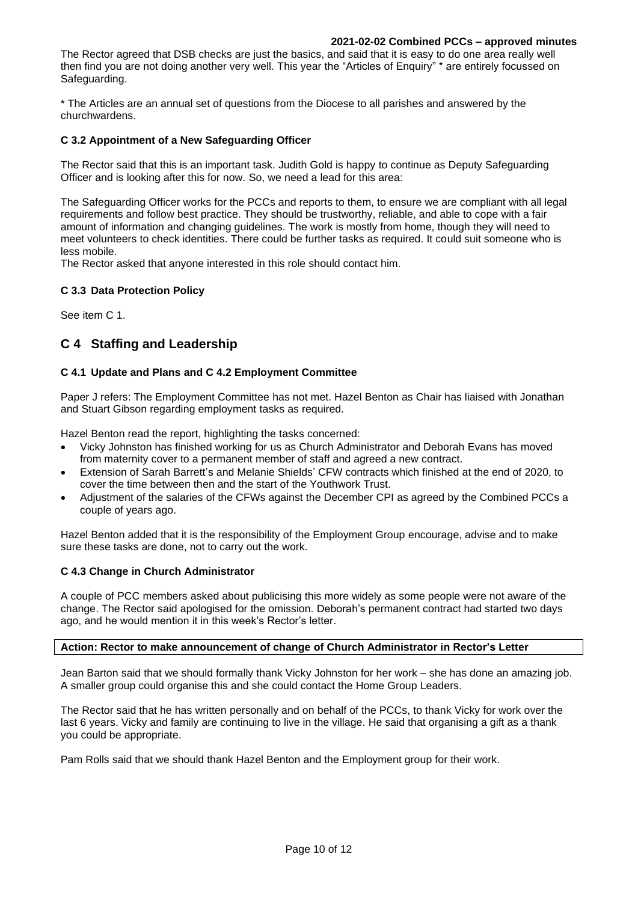#### **2021-02-02 Combined PCCs – approved minutes**

The Rector agreed that DSB checks are just the basics, and said that it is easy to do one area really well then find you are not doing another very well. This year the "Articles of Enquiry" \* are entirely focussed on Safeguarding.

\* The Articles are an annual set of questions from the Diocese to all parishes and answered by the churchwardens.

## **C 3.2 Appointment of a New Safeguarding Officer**

The Rector said that this is an important task. Judith Gold is happy to continue as Deputy Safeguarding Officer and is looking after this for now. So, we need a lead for this area:

The Safeguarding Officer works for the PCCs and reports to them, to ensure we are compliant with all legal requirements and follow best practice. They should be trustworthy, reliable, and able to cope with a fair amount of information and changing guidelines. The work is mostly from home, though they will need to meet volunteers to check identities. There could be further tasks as required. It could suit someone who is less mobile.

The Rector asked that anyone interested in this role should contact him.

## **C 3.3 Data Protection Policy**

See item C 1.

# **C 4 Staffing and Leadership**

## **C 4.1 Update and Plans and C 4.2 Employment Committee**

Paper J refers: The Employment Committee has not met. Hazel Benton as Chair has liaised with Jonathan and Stuart Gibson regarding employment tasks as required.

Hazel Benton read the report, highlighting the tasks concerned:

- Vicky Johnston has finished working for us as Church Administrator and Deborah Evans has moved from maternity cover to a permanent member of staff and agreed a new contract.
- Extension of Sarah Barrett's and Melanie Shields' CFW contracts which finished at the end of 2020, to cover the time between then and the start of the Youthwork Trust.
- Adjustment of the salaries of the CFWs against the December CPI as agreed by the Combined PCCs a couple of years ago.

Hazel Benton added that it is the responsibility of the Employment Group encourage, advise and to make sure these tasks are done, not to carry out the work.

#### **C 4.3 Change in Church Administrator**

A couple of PCC members asked about publicising this more widely as some people were not aware of the change. The Rector said apologised for the omission. Deborah's permanent contract had started two days ago, and he would mention it in this week's Rector's letter.

#### **Action: Rector to make announcement of change of Church Administrator in Rector's Letter**

Jean Barton said that we should formally thank Vicky Johnston for her work – she has done an amazing job. A smaller group could organise this and she could contact the Home Group Leaders.

The Rector said that he has written personally and on behalf of the PCCs, to thank Vicky for work over the last 6 years. Vicky and family are continuing to live in the village. He said that organising a gift as a thank you could be appropriate.

Pam Rolls said that we should thank Hazel Benton and the Employment group for their work.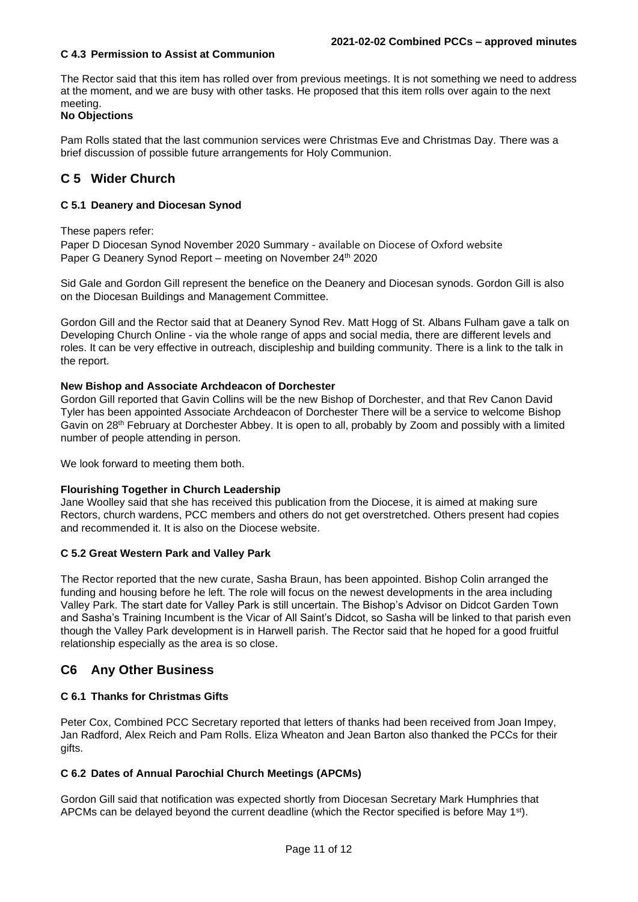## **C 4.3 Permission to Assist at Communion**

The Rector said that this item has rolled over from previous meetings. It is not something we need to address at the moment, and we are busy with other tasks. He proposed that this item rolls over again to the next meeting.

## **No Objections**

Pam Rolls stated that the last communion services were Christmas Eve and Christmas Day. There was a brief discussion of possible future arrangements for Holy Communion.

# **C 5 Wider Church**

## **C 5.1 Deanery and Diocesan Synod**

These papers refer:

Paper D Diocesan Synod November 2020 Summary - available on Diocese of Oxford website Paper G Deanery Synod Report – meeting on November 24<sup>th</sup> 2020

Sid Gale and Gordon Gill represent the benefice on the Deanery and Diocesan synods. Gordon Gill is also on the Diocesan Buildings and Management Committee.

Gordon Gill and the Rector said that at Deanery Synod Rev. Matt Hogg of St. Albans Fulham gave a talk on Developing Church Online - via the whole range of apps and social media, there are different levels and roles. It can be very effective in outreach, discipleship and building community. There is a link to the talk in the report.

#### **New Bishop and Associate Archdeacon of Dorchester**

Gordon Gill reported that Gavin Collins will be the new Bishop of Dorchester, and that Rev Canon David Tyler has been appointed Associate Archdeacon of Dorchester There will be a service to welcome Bishop Gavin on 28<sup>th</sup> February at Dorchester Abbey. It is open to all, probably by Zoom and possibly with a limited number of people attending in person.

We look forward to meeting them both.

#### **Flourishing Together in Church Leadership**

Jane Woolley said that she has received this publication from the Diocese, it is aimed at making sure Rectors, church wardens, PCC members and others do not get overstretched. Others present had copies and recommended it. It is also on the Diocese website.

#### **C 5.2 Great Western Park and Valley Park**

The Rector reported that the new curate, Sasha Braun, has been appointed. Bishop Colin arranged the funding and housing before he left. The role will focus on the newest developments in the area including Valley Park. The start date for Valley Park is still uncertain. The Bishop's Advisor on Didcot Garden Town and Sasha's Training Incumbent is the Vicar of All Saint's Didcot, so Sasha will be linked to that parish even though the Valley Park development is in Harwell parish. The Rector said that he hoped for a good fruitful relationship especially as the area is so close.

# **C6 Any Other Business**

# **C 6.1 Thanks for Christmas Gifts**

Peter Cox, Combined PCC Secretary reported that letters of thanks had been received from Joan Impey, Jan Radford, Alex Reich and Pam Rolls. Eliza Wheaton and Jean Barton also thanked the PCCs for their gifts.

# **C 6.2 Dates of Annual Parochial Church Meetings (APCMs)**

Gordon Gill said that notification was expected shortly from Diocesan Secretary Mark Humphries that APCMs can be delayed beyond the current deadline (which the Rector specified is before May  $1^{st}$ ).